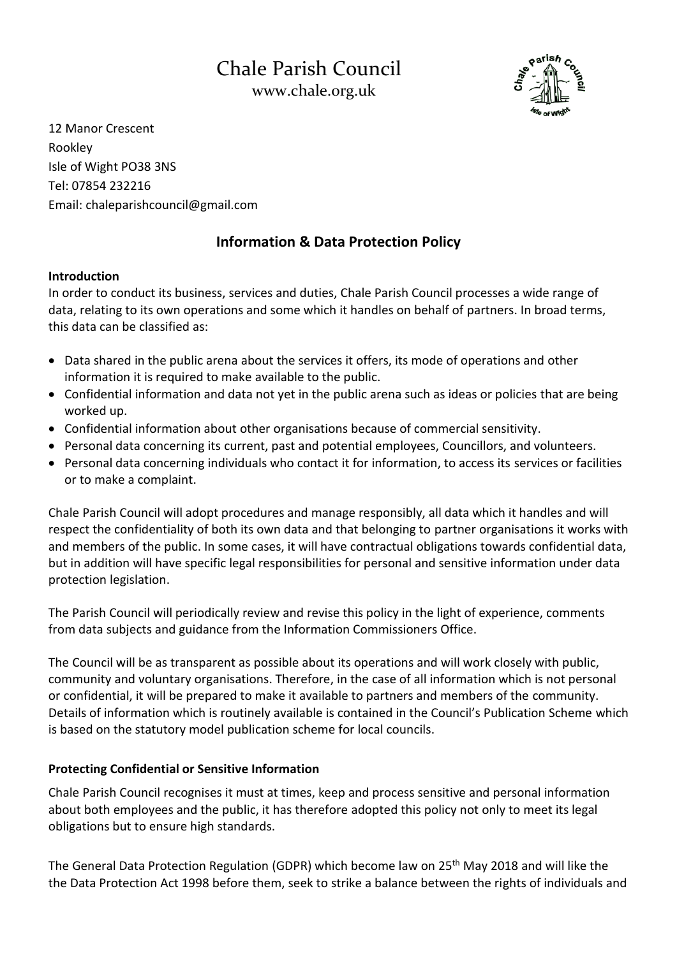# Chale Parish Council [www.chale.org.uk](http://www.chale.org.uk/)



12 Manor Crescent Rookley Isle of Wight PO38 3NS Tel: 07854 232216 Email: chaleparishcouncil@gmail.com

## **Information & Data Protection Policy**

## **Introduction**

In order to conduct its business, services and duties, Chale Parish Council processes a wide range of data, relating to its own operations and some which it handles on behalf of partners. In broad terms, this data can be classified as:

- Data shared in the public arena about the services it offers, its mode of operations and other information it is required to make available to the public.
- Confidential information and data not yet in the public arena such as ideas or policies that are being worked up.
- Confidential information about other organisations because of commercial sensitivity.
- Personal data concerning its current, past and potential employees, Councillors, and volunteers.
- Personal data concerning individuals who contact it for information, to access its services or facilities or to make a complaint.

Chale Parish Council will adopt procedures and manage responsibly, all data which it handles and will respect the confidentiality of both its own data and that belonging to partner organisations it works with and members of the public. In some cases, it will have contractual obligations towards confidential data, but in addition will have specific legal responsibilities for personal and sensitive information under data protection legislation.

The Parish Council will periodically review and revise this policy in the light of experience, comments from data subjects and guidance from the Information Commissioners Office.

The Council will be as transparent as possible about its operations and will work closely with public, community and voluntary organisations. Therefore, in the case of all information which is not personal or confidential, it will be prepared to make it available to partners and members of the community. Details of information which is routinely available is contained in the Council's Publication Scheme which is based on the statutory model publication scheme for local councils.

## **Protecting Confidential or Sensitive Information**

Chale Parish Council recognises it must at times, keep and process sensitive and personal information about both employees and the public, it has therefore adopted this policy not only to meet its legal obligations but to ensure high standards.

The General Data Protection Regulation (GDPR) which become law on 25th May 2018 and will like the the Data Protection Act 1998 before them, seek to strike a balance between the rights of individuals and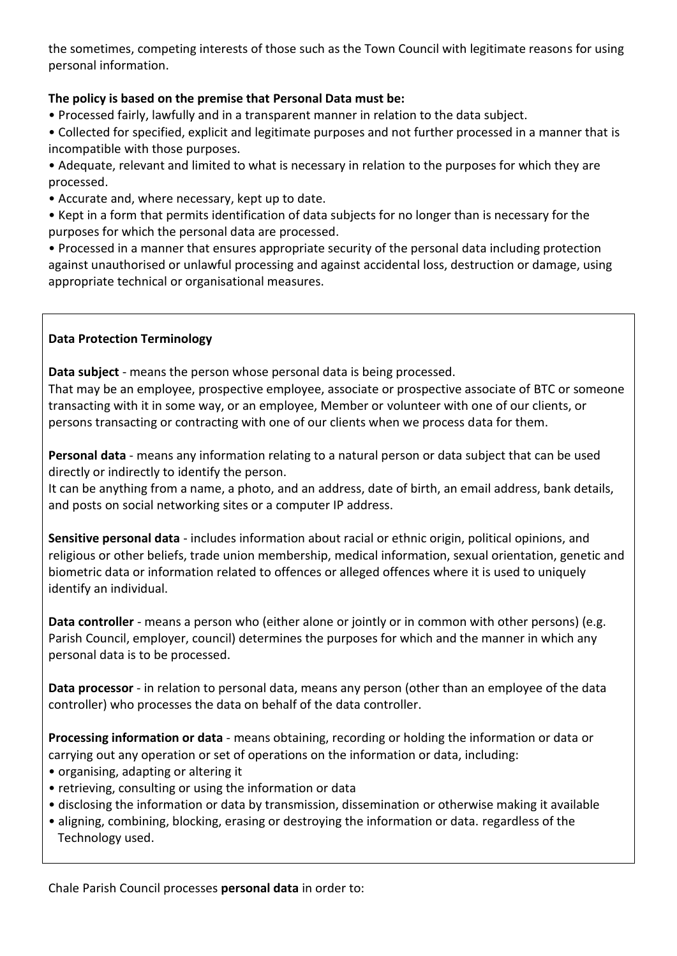the sometimes, competing interests of those such as the Town Council with legitimate reasons for using personal information.

## **The policy is based on the premise that Personal Data must be:**

• Processed fairly, lawfully and in a transparent manner in relation to the data subject.

• Collected for specified, explicit and legitimate purposes and not further processed in a manner that is incompatible with those purposes.

• Adequate, relevant and limited to what is necessary in relation to the purposes for which they are processed.

- Accurate and, where necessary, kept up to date.
- Kept in a form that permits identification of data subjects for no longer than is necessary for the purposes for which the personal data are processed.

• Processed in a manner that ensures appropriate security of the personal data including protection against unauthorised or unlawful processing and against accidental loss, destruction or damage, using appropriate technical or organisational measures.

#### **Data Protection Terminology**

**Data subject** - means the person whose personal data is being processed.

That may be an employee, prospective employee, associate or prospective associate of BTC or someone transacting with it in some way, or an employee, Member or volunteer with one of our clients, or persons transacting or contracting with one of our clients when we process data for them.

**Personal data** - means any information relating to a natural person or data subject that can be used directly or indirectly to identify the person.

It can be anything from a name, a photo, and an address, date of birth, an email address, bank details, and posts on social networking sites or a computer IP address.

**Sensitive personal data** - includes information about racial or ethnic origin, political opinions, and religious or other beliefs, trade union membership, medical information, sexual orientation, genetic and biometric data or information related to offences or alleged offences where it is used to uniquely identify an individual.

**Data controller** - means a person who (either alone or jointly or in common with other persons) (e.g. Parish Council, employer, council) determines the purposes for which and the manner in which any personal data is to be processed.

**Data processor** - in relation to personal data, means any person (other than an employee of the data controller) who processes the data on behalf of the data controller.

**Processing information or data** - means obtaining, recording or holding the information or data or carrying out any operation or set of operations on the information or data, including:

- organising, adapting or altering it
- retrieving, consulting or using the information or data
- disclosing the information or data by transmission, dissemination or otherwise making it available
- aligning, combining, blocking, erasing or destroying the information or data. regardless of the Technology used.

Chale Parish Council processes **personal data** in order to: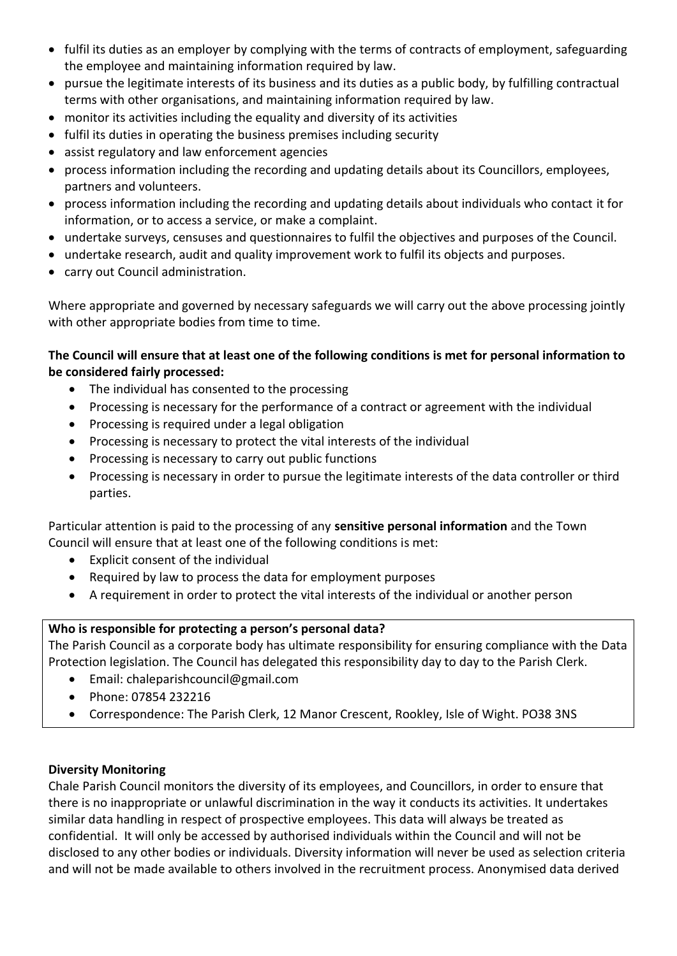- fulfil its duties as an employer by complying with the terms of contracts of employment, safeguarding the employee and maintaining information required by law.
- pursue the legitimate interests of its business and its duties as a public body, by fulfilling contractual terms with other organisations, and maintaining information required by law.
- monitor its activities including the equality and diversity of its activities
- fulfil its duties in operating the business premises including security
- assist regulatory and law enforcement agencies
- process information including the recording and updating details about its Councillors, employees, partners and volunteers.
- process information including the recording and updating details about individuals who contact it for information, or to access a service, or make a complaint.
- undertake surveys, censuses and questionnaires to fulfil the objectives and purposes of the Council.
- undertake research, audit and quality improvement work to fulfil its objects and purposes.
- carry out Council administration.

Where appropriate and governed by necessary safeguards we will carry out the above processing jointly with other appropriate bodies from time to time.

### **The Council will ensure that at least one of the following conditions is met for personal information to be considered fairly processed:**

- The individual has consented to the processing
- Processing is necessary for the performance of a contract or agreement with the individual
- Processing is required under a legal obligation
- Processing is necessary to protect the vital interests of the individual
- Processing is necessary to carry out public functions
- Processing is necessary in order to pursue the legitimate interests of the data controller or third parties.

Particular attention is paid to the processing of any **sensitive personal information** and the Town Council will ensure that at least one of the following conditions is met:

- Explicit consent of the individual
- Required by law to process the data for employment purposes
- A requirement in order to protect the vital interests of the individual or another person

#### **Who is responsible for protecting a person's personal data?**

The Parish Council as a corporate body has ultimate responsibility for ensuring compliance with the Data Protection legislation. The Council has delegated this responsibility day to day to the Parish Clerk.

- Email: chaleparishcouncil@gmail.com
- Phone: 07854 232216
- Correspondence: The Parish Clerk, 12 Manor Crescent, Rookley, Isle of Wight. PO38 3NS

#### **Diversity Monitoring**

Chale Parish Council monitors the diversity of its employees, and Councillors, in order to ensure that there is no inappropriate or unlawful discrimination in the way it conducts its activities. It undertakes similar data handling in respect of prospective employees. This data will always be treated as confidential. It will only be accessed by authorised individuals within the Council and will not be disclosed to any other bodies or individuals. Diversity information will never be used as selection criteria and will not be made available to others involved in the recruitment process. Anonymised data derived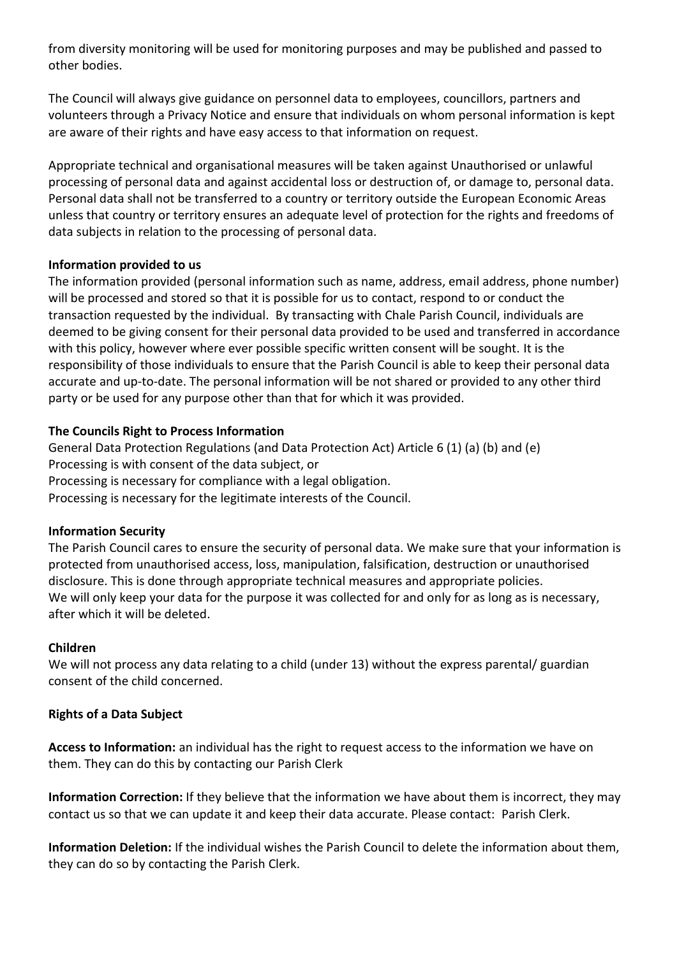from diversity monitoring will be used for monitoring purposes and may be published and passed to other bodies.

The Council will always give guidance on personnel data to employees, councillors, partners and volunteers through a Privacy Notice and ensure that individuals on whom personal information is kept are aware of their rights and have easy access to that information on request.

Appropriate technical and organisational measures will be taken against Unauthorised or unlawful processing of personal data and against accidental loss or destruction of, or damage to, personal data. Personal data shall not be transferred to a country or territory outside the European Economic Areas unless that country or territory ensures an adequate level of protection for the rights and freedoms of data subjects in relation to the processing of personal data.

#### **Information provided to us**

The information provided (personal information such as name, address, email address, phone number) will be processed and stored so that it is possible for us to contact, respond to or conduct the transaction requested by the individual. By transacting with Chale Parish Council, individuals are deemed to be giving consent for their personal data provided to be used and transferred in accordance with this policy, however where ever possible specific written consent will be sought. It is the responsibility of those individuals to ensure that the Parish Council is able to keep their personal data accurate and up-to-date. The personal information will be not shared or provided to any other third party or be used for any purpose other than that for which it was provided.

#### **The Councils Right to Process Information**

General Data Protection Regulations (and Data Protection Act) Article 6 (1) (a) (b) and (e) Processing is with consent of the data subject, or Processing is necessary for compliance with a legal obligation. Processing is necessary for the legitimate interests of the Council.

#### **Information Security**

The Parish Council cares to ensure the security of personal data. We make sure that your information is protected from unauthorised access, loss, manipulation, falsification, destruction or unauthorised disclosure. This is done through appropriate technical measures and appropriate policies. We will only keep your data for the purpose it was collected for and only for as long as is necessary, after which it will be deleted.

#### **Children**

We will not process any data relating to a child (under 13) without the express parental/ guardian consent of the child concerned.

#### **Rights of a Data Subject**

**Access to Information:** an individual has the right to request access to the information we have on them. They can do this by contacting our Parish Clerk

**Information Correction:** If they believe that the information we have about them is incorrect, they may contact us so that we can update it and keep their data accurate. Please contact: Parish Clerk.

**Information Deletion:** If the individual wishes the Parish Council to delete the information about them, they can do so by contacting the Parish Clerk.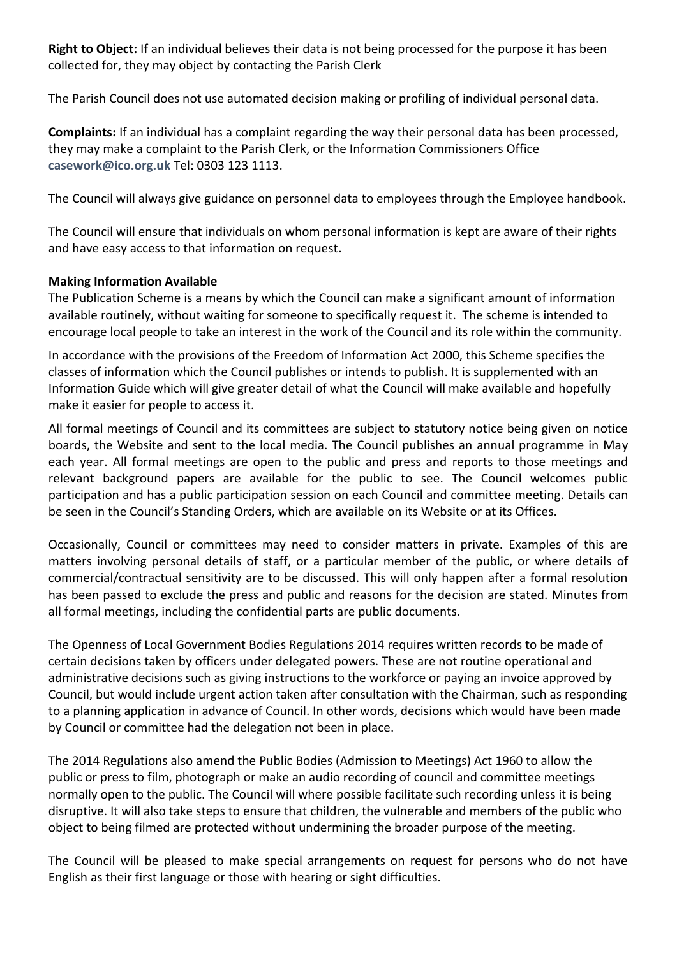**Right to Object:** If an individual believes their data is not being processed for the purpose it has been collected for, they may object by contacting the Parish Clerk

The Parish Council does not use automated decision making or profiling of individual personal data.

**Complaints:** If an individual has a complaint regarding the way their personal data has been processed, they may make a complaint to the Parish Clerk, or the Information Commissioners Office **[casework@ico.org.uk](mailto:casework@ico.org.uk)** Tel: 0303 123 1113.

The Council will always give guidance on personnel data to employees through the Employee handbook.

The Council will ensure that individuals on whom personal information is kept are aware of their rights and have easy access to that information on request.

#### **Making Information Available**

The Publication Scheme is a means by which the Council can make a significant amount of information available routinely, without waiting for someone to specifically request it. The scheme is intended to encourage local people to take an interest in the work of the Council and its role within the community.

In accordance with the provisions of the Freedom of Information Act 2000, this Scheme specifies the classes of information which the Council publishes or intends to publish. It is supplemented with an Information Guide which will give greater detail of what the Council will make available and hopefully make it easier for people to access it.

All formal meetings of Council and its committees are subject to statutory notice being given on notice boards, the Website and sent to the local media. The Council publishes an annual programme in May each year. All formal meetings are open to the public and press and reports to those meetings and relevant background papers are available for the public to see. The Council welcomes public participation and has a public participation session on each Council and committee meeting. Details can be seen in the Council's Standing Orders, which are available on its Website or at its Offices.

Occasionally, Council or committees may need to consider matters in private. Examples of this are matters involving personal details of staff, or a particular member of the public, or where details of commercial/contractual sensitivity are to be discussed. This will only happen after a formal resolution has been passed to exclude the press and public and reasons for the decision are stated. Minutes from all formal meetings, including the confidential parts are public documents.

The Openness of Local Government Bodies Regulations 2014 requires written records to be made of certain decisions taken by officers under delegated powers. These are not routine operational and administrative decisions such as giving instructions to the workforce or paying an invoice approved by Council, but would include urgent action taken after consultation with the Chairman, such as responding to a planning application in advance of Council. In other words, decisions which would have been made by Council or committee had the delegation not been in place.

The 2014 Regulations also amend the Public Bodies (Admission to Meetings) Act 1960 to allow the public or press to film, photograph or make an audio recording of council and committee meetings normally open to the public. The Council will where possible facilitate such recording unless it is being disruptive. It will also take steps to ensure that children, the vulnerable and members of the public who object to being filmed are protected without undermining the broader purpose of the meeting.

The Council will be pleased to make special arrangements on request for persons who do not have English as their first language or those with hearing or sight difficulties.